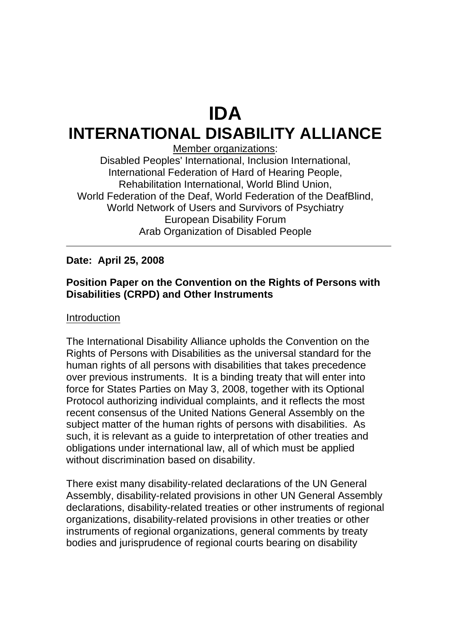# **IDA**

# **INTERNATIONAL DISABILITY ALLIANCE**

Member organizations:

Disabled Peoples' International, Inclusion International, International Federation of Hard of Hearing People, Rehabilitation International, World Blind Union, World Federation of the Deaf, World Federation of the DeafBlind, World Network of Users and Survivors of Psychiatry European Disability Forum Arab Organization of Disabled People

# **Date: April 25, 2008**

# **Position Paper on the Convention on the Rights of Persons with Disabilities (CRPD) and Other Instruments**

# Introduction

The International Disability Alliance upholds the Convention on the Rights of Persons with Disabilities as the universal standard for the human rights of all persons with disabilities that takes precedence over previous instruments. It is a binding treaty that will enter into force for States Parties on May 3, 2008, together with its Optional Protocol authorizing individual complaints, and it reflects the most recent consensus of the United Nations General Assembly on the subject matter of the human rights of persons with disabilities. As such, it is relevant as a guide to interpretation of other treaties and obligations under international law, all of which must be applied without discrimination based on disability.

There exist many disability-related declarations of the UN General Assembly, disability-related provisions in other UN General Assembly declarations, disability-related treaties or other instruments of regional organizations, disability-related provisions in other treaties or other instruments of regional organizations, general comments by treaty bodies and jurisprudence of regional courts bearing on disability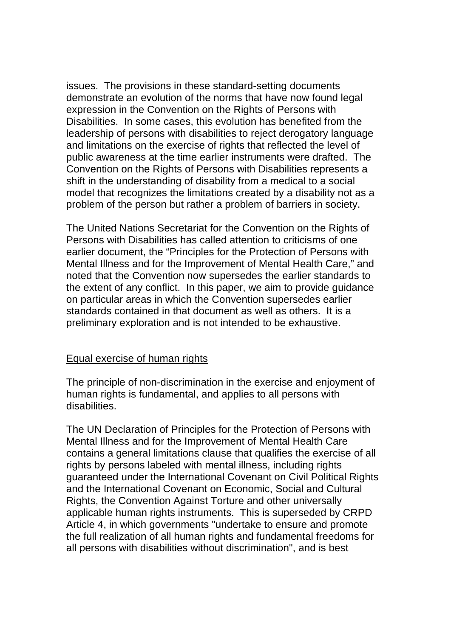issues. The provisions in these standard-setting documents demonstrate an evolution of the norms that have now found legal expression in the Convention on the Rights of Persons with Disabilities. In some cases, this evolution has benefited from the leadership of persons with disabilities to reject derogatory language and limitations on the exercise of rights that reflected the level of public awareness at the time earlier instruments were drafted. The Convention on the Rights of Persons with Disabilities represents a shift in the understanding of disability from a medical to a social model that recognizes the limitations created by a disability not as a problem of the person but rather a problem of barriers in society.

The United Nations Secretariat for the Convention on the Rights of Persons with Disabilities has called attention to criticisms of one earlier document, the "Principles for the Protection of Persons with Mental Illness and for the Improvement of Mental Health Care," and noted that the Convention now supersedes the earlier standards to the extent of any conflict. In this paper, we aim to provide guidance on particular areas in which the Convention supersedes earlier standards contained in that document as well as others. It is a preliminary exploration and is not intended to be exhaustive.

# Equal exercise of human rights

The principle of non-discrimination in the exercise and enjoyment of human rights is fundamental, and applies to all persons with disabilities.

The UN Declaration of Principles for the Protection of Persons with Mental Illness and for the Improvement of Mental Health Care contains a general limitations clause that qualifies the exercise of all rights by persons labeled with mental illness, including rights guaranteed under the International Covenant on Civil Political Rights and the International Covenant on Economic, Social and Cultural Rights, the Convention Against Torture and other universally applicable human rights instruments. This is superseded by CRPD Article 4, in which governments "undertake to ensure and promote the full realization of all human rights and fundamental freedoms for all persons with disabilities without discrimination", and is best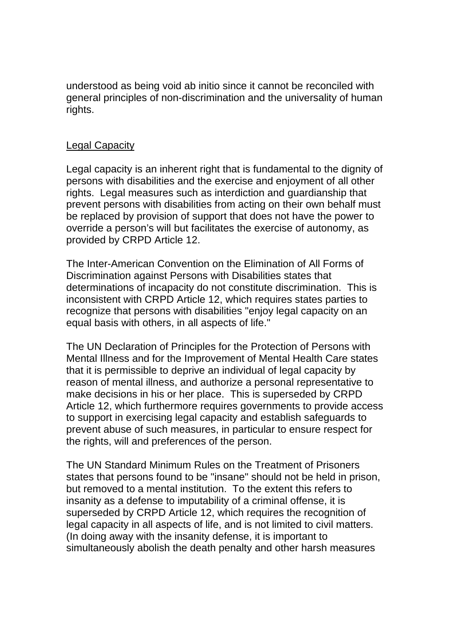understood as being void ab initio since it cannot be reconciled with general principles of non-discrimination and the universality of human rights.

# Legal Capacity

Legal capacity is an inherent right that is fundamental to the dignity of persons with disabilities and the exercise and enjoyment of all other rights. Legal measures such as interdiction and guardianship that prevent persons with disabilities from acting on their own behalf must be replaced by provision of support that does not have the power to override a person's will but facilitates the exercise of autonomy, as provided by CRPD Article 12.

The Inter-American Convention on the Elimination of All Forms of Discrimination against Persons with Disabilities states that determinations of incapacity do not constitute discrimination. This is inconsistent with CRPD Article 12, which requires states parties to recognize that persons with disabilities "enjoy legal capacity on an equal basis with others, in all aspects of life."

The UN Declaration of Principles for the Protection of Persons with Mental Illness and for the Improvement of Mental Health Care states that it is permissible to deprive an individual of legal capacity by reason of mental illness, and authorize a personal representative to make decisions in his or her place. This is superseded by CRPD Article 12, which furthermore requires governments to provide access to support in exercising legal capacity and establish safeguards to prevent abuse of such measures, in particular to ensure respect for the rights, will and preferences of the person.

The UN Standard Minimum Rules on the Treatment of Prisoners states that persons found to be "insane" should not be held in prison, but removed to a mental institution. To the extent this refers to insanity as a defense to imputability of a criminal offense, it is superseded by CRPD Article 12, which requires the recognition of legal capacity in all aspects of life, and is not limited to civil matters. (In doing away with the insanity defense, it is important to simultaneously abolish the death penalty and other harsh measures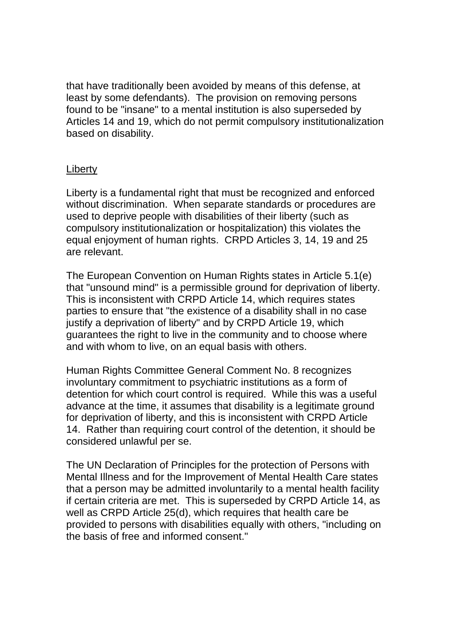that have traditionally been avoided by means of this defense, at least by some defendants). The provision on removing persons found to be "insane" to a mental institution is also superseded by Articles 14 and 19, which do not permit compulsory institutionalization based on disability.

# Liberty

Liberty is a fundamental right that must be recognized and enforced without discrimination. When separate standards or procedures are used to deprive people with disabilities of their liberty (such as compulsory institutionalization or hospitalization) this violates the equal enjoyment of human rights. CRPD Articles 3, 14, 19 and 25 are relevant.

The European Convention on Human Rights states in Article 5.1(e) that "unsound mind" is a permissible ground for deprivation of liberty. This is inconsistent with CRPD Article 14, which requires states parties to ensure that "the existence of a disability shall in no case justify a deprivation of liberty" and by CRPD Article 19, which guarantees the right to live in the community and to choose where and with whom to live, on an equal basis with others.

Human Rights Committee General Comment No. 8 recognizes involuntary commitment to psychiatric institutions as a form of detention for which court control is required. While this was a useful advance at the time, it assumes that disability is a legitimate ground for deprivation of liberty, and this is inconsistent with CRPD Article 14. Rather than requiring court control of the detention, it should be considered unlawful per se.

The UN Declaration of Principles for the protection of Persons with Mental Illness and for the Improvement of Mental Health Care states that a person may be admitted involuntarily to a mental health facility if certain criteria are met. This is superseded by CRPD Article 14, as well as CRPD Article 25(d), which requires that health care be provided to persons with disabilities equally with others, "including on the basis of free and informed consent."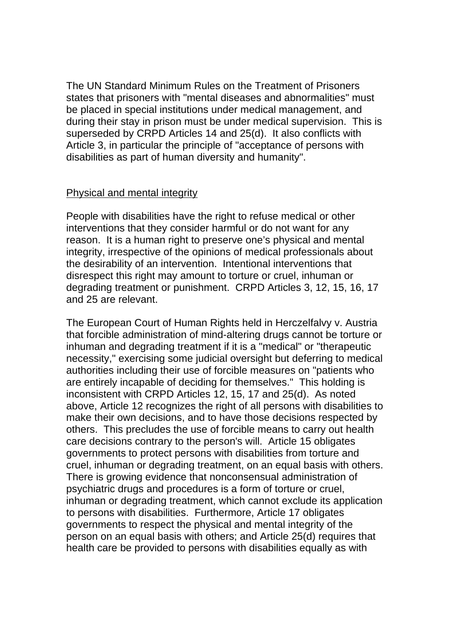The UN Standard Minimum Rules on the Treatment of Prisoners states that prisoners with "mental diseases and abnormalities" must be placed in special institutions under medical management, and during their stay in prison must be under medical supervision. This is superseded by CRPD Articles 14 and 25(d). It also conflicts with Article 3, in particular the principle of "acceptance of persons with disabilities as part of human diversity and humanity".

#### Physical and mental integrity

People with disabilities have the right to refuse medical or other interventions that they consider harmful or do not want for any reason. It is a human right to preserve one's physical and mental integrity, irrespective of the opinions of medical professionals about the desirability of an intervention. Intentional interventions that disrespect this right may amount to torture or cruel, inhuman or degrading treatment or punishment. CRPD Articles 3, 12, 15, 16, 17 and 25 are relevant.

The European Court of Human Rights held in Herczelfalvy v. Austria that forcible administration of mind-altering drugs cannot be torture or inhuman and degrading treatment if it is a "medical" or "therapeutic necessity," exercising some judicial oversight but deferring to medical authorities including their use of forcible measures on "patients who are entirely incapable of deciding for themselves." This holding is inconsistent with CRPD Articles 12, 15, 17 and 25(d). As noted above, Article 12 recognizes the right of all persons with disabilities to make their own decisions, and to have those decisions respected by others. This precludes the use of forcible means to carry out health care decisions contrary to the person's will. Article 15 obligates governments to protect persons with disabilities from torture and cruel, inhuman or degrading treatment, on an equal basis with others. There is growing evidence that nonconsensual administration of psychiatric drugs and procedures is a form of torture or cruel, inhuman or degrading treatment, which cannot exclude its application to persons with disabilities. Furthermore, Article 17 obligates governments to respect the physical and mental integrity of the person on an equal basis with others; and Article 25(d) requires that health care be provided to persons with disabilities equally as with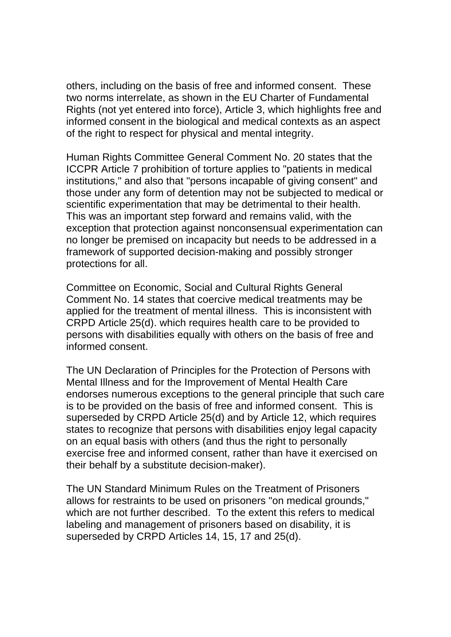others, including on the basis of free and informed consent. These two norms interrelate, as shown in the EU Charter of Fundamental Rights (not yet entered into force), Article 3, which highlights free and informed consent in the biological and medical contexts as an aspect of the right to respect for physical and mental integrity.

Human Rights Committee General Comment No. 20 states that the ICCPR Article 7 prohibition of torture applies to "patients in medical institutions," and also that "persons incapable of giving consent" and those under any form of detention may not be subjected to medical or scientific experimentation that may be detrimental to their health. This was an important step forward and remains valid, with the exception that protection against nonconsensual experimentation can no longer be premised on incapacity but needs to be addressed in a framework of supported decision-making and possibly stronger protections for all.

Committee on Economic, Social and Cultural Rights General Comment No. 14 states that coercive medical treatments may be applied for the treatment of mental illness. This is inconsistent with CRPD Article 25(d). which requires health care to be provided to persons with disabilities equally with others on the basis of free and informed consent.

The UN Declaration of Principles for the Protection of Persons with Mental Illness and for the Improvement of Mental Health Care endorses numerous exceptions to the general principle that such care is to be provided on the basis of free and informed consent. This is superseded by CRPD Article 25(d) and by Article 12, which requires states to recognize that persons with disabilities enjoy legal capacity on an equal basis with others (and thus the right to personally exercise free and informed consent, rather than have it exercised on their behalf by a substitute decision-maker).

The UN Standard Minimum Rules on the Treatment of Prisoners allows for restraints to be used on prisoners "on medical grounds," which are not further described. To the extent this refers to medical labeling and management of prisoners based on disability, it is superseded by CRPD Articles 14, 15, 17 and 25(d).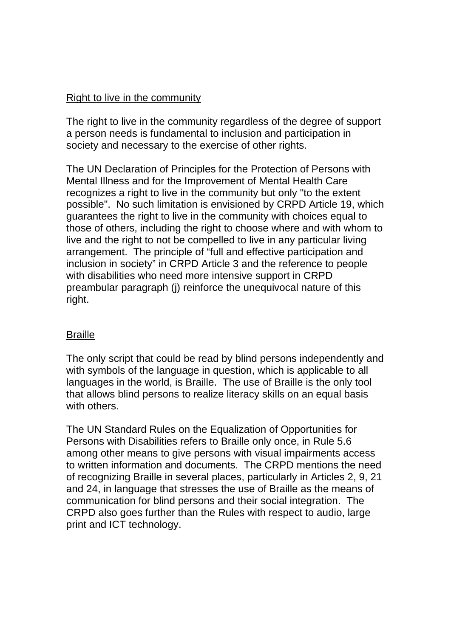#### Right to live in the community

The right to live in the community regardless of the degree of support a person needs is fundamental to inclusion and participation in society and necessary to the exercise of other rights.

The UN Declaration of Principles for the Protection of Persons with Mental Illness and for the Improvement of Mental Health Care recognizes a right to live in the community but only "to the extent possible". No such limitation is envisioned by CRPD Article 19, which guarantees the right to live in the community with choices equal to those of others, including the right to choose where and with whom to live and the right to not be compelled to live in any particular living arrangement. The principle of "full and effective participation and inclusion in society" in CRPD Article 3 and the reference to people with disabilities who need more intensive support in CRPD preambular paragraph (j) reinforce the unequivocal nature of this right.

# **Braille**

The only script that could be read by blind persons independently and with symbols of the language in question, which is applicable to all languages in the world, is Braille. The use of Braille is the only tool that allows blind persons to realize literacy skills on an equal basis with others.

The UN Standard Rules on the Equalization of Opportunities for Persons with Disabilities refers to Braille only once, in Rule 5.6 among other means to give persons with visual impairments access to written information and documents. The CRPD mentions the need of recognizing Braille in several places, particularly in Articles 2, 9, 21 and 24, in language that stresses the use of Braille as the means of communication for blind persons and their social integration. The CRPD also goes further than the Rules with respect to audio, large print and ICT technology.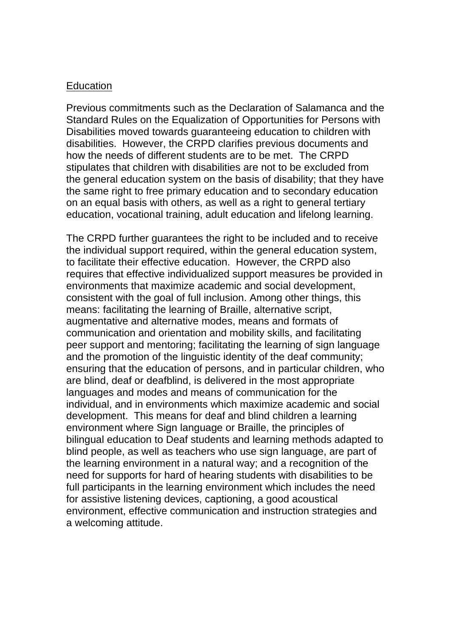#### **Education**

Previous commitments such as the Declaration of Salamanca and the Standard Rules on the Equalization of Opportunities for Persons with Disabilities moved towards guaranteeing education to children with disabilities. However, the CRPD clarifies previous documents and how the needs of different students are to be met. The CRPD stipulates that children with disabilities are not to be excluded from the general education system on the basis of disability; that they have the same right to free primary education and to secondary education on an equal basis with others, as well as a right to general tertiary education, vocational training, adult education and lifelong learning.

The CRPD further guarantees the right to be included and to receive the individual support required, within the general education system, to facilitate their effective education. However, the CRPD also requires that effective individualized support measures be provided in environments that maximize academic and social development, consistent with the goal of full inclusion. Among other things, this means: facilitating the learning of Braille, alternative script, augmentative and alternative modes, means and formats of communication and orientation and mobility skills, and facilitating peer support and mentoring; facilitating the learning of sign language and the promotion of the linguistic identity of the deaf community; ensuring that the education of persons, and in particular children, who are blind, deaf or deafblind, is delivered in the most appropriate languages and modes and means of communication for the individual, and in environments which maximize academic and social development. This means for deaf and blind children a learning environment where Sign language or Braille, the principles of bilingual education to Deaf students and learning methods adapted to blind people, as well as teachers who use sign language, are part of the learning environment in a natural way; and a recognition of the need for supports for hard of hearing students with disabilities to be full participants in the learning environment which includes the need for assistive listening devices, captioning, a good acoustical environment, effective communication and instruction strategies and a welcoming attitude.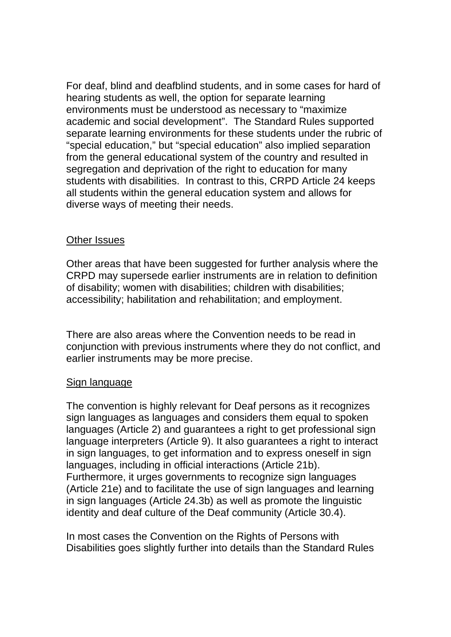For deaf, blind and deafblind students, and in some cases for hard of hearing students as well, the option for separate learning environments must be understood as necessary to "maximize academic and social development". The Standard Rules supported separate learning environments for these students under the rubric of "special education," but "special education" also implied separation from the general educational system of the country and resulted in segregation and deprivation of the right to education for many students with disabilities. In contrast to this, CRPD Article 24 keeps all students within the general education system and allows for diverse ways of meeting their needs.

#### Other Issues

Other areas that have been suggested for further analysis where the CRPD may supersede earlier instruments are in relation to definition of disability; women with disabilities; children with disabilities; accessibility; habilitation and rehabilitation; and employment.

There are also areas where the Convention needs to be read in conjunction with previous instruments where they do not conflict, and earlier instruments may be more precise.

#### Sign language

The convention is highly relevant for Deaf persons as it recognizes sign languages as languages and considers them equal to spoken languages (Article 2) and guarantees a right to get professional sign language interpreters (Article 9). It also guarantees a right to interact in sign languages, to get information and to express oneself in sign languages, including in official interactions (Article 21b). Furthermore, it urges governments to recognize sign languages (Article 21e) and to facilitate the use of sign languages and learning in sign languages (Article 24.3b) as well as promote the linguistic identity and deaf culture of the Deaf community (Article 30.4).

In most cases the Convention on the Rights of Persons with Disabilities goes slightly further into details than the Standard Rules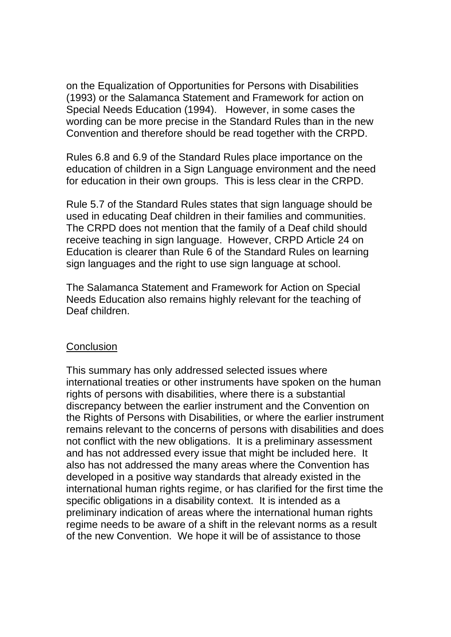on the Equalization of Opportunities for Persons with Disabilities (1993) or the Salamanca Statement and Framework for action on Special Needs Education (1994). However, in some cases the wording can be more precise in the Standard Rules than in the new Convention and therefore should be read together with the CRPD.

Rules 6.8 and 6.9 of the Standard Rules place importance on the education of children in a Sign Language environment and the need for education in their own groups. This is less clear in the CRPD.

Rule 5.7 of the Standard Rules states that sign language should be used in educating Deaf children in their families and communities. The CRPD does not mention that the family of a Deaf child should receive teaching in sign language. However, CRPD Article 24 on Education is clearer than Rule 6 of the Standard Rules on learning sign languages and the right to use sign language at school.

The Salamanca Statement and Framework for Action on Special Needs Education also remains highly relevant for the teaching of Deaf children.

#### **Conclusion**

This summary has only addressed selected issues where international treaties or other instruments have spoken on the human rights of persons with disabilities, where there is a substantial discrepancy between the earlier instrument and the Convention on the Rights of Persons with Disabilities, or where the earlier instrument remains relevant to the concerns of persons with disabilities and does not conflict with the new obligations. It is a preliminary assessment and has not addressed every issue that might be included here. It also has not addressed the many areas where the Convention has developed in a positive way standards that already existed in the international human rights regime, or has clarified for the first time the specific obligations in a disability context. It is intended as a preliminary indication of areas where the international human rights regime needs to be aware of a shift in the relevant norms as a result of the new Convention. We hope it will be of assistance to those